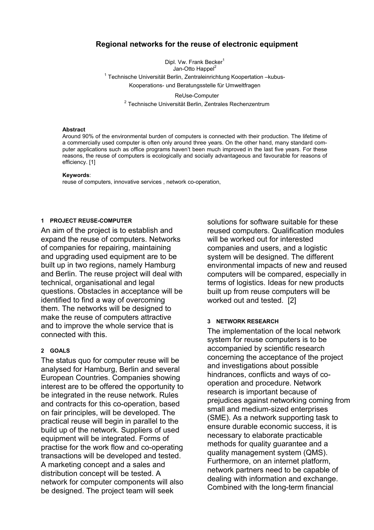# **Regional networks for the reuse of electronic equipment**

Dipl. Vw. Frank Becker<sup>1</sup> Jan-Otto Happel<sup>2</sup> <sup>1</sup> Technische Universität Berlin, Zentraleinrichtung Koopertation –kubus-Kooperations- und Beratungsstelle für Umweltfragen

ReUse-Computer<br><sup>2</sup> Technische Universität Berlin, Zentrales Rechenzentrum

#### **Abstract**

Around 90% of the environmental burden of computers is connected with their production. The lifetime of a commercially used computer is often only around three years. On the other hand, many standard computer applications such as office programs haven't been much improved in the last five years. For these reasons, the reuse of computers is ecologically and socially advantageous and favourable for reasons of efficiency. [1]

#### **Keywords**:

reuse of computers, innovative services , network co-operation,

#### **1 PROJECT REUSE-COMPUTER**

An aim of the project is to establish and expand the reuse of computers. Networks of companies for repairing, maintaining and upgrading used equipment are to be built up in two regions, namely Hamburg and Berlin. The reuse project will deal with technical, organisational and legal questions. Obstacles in acceptance will be identified to find a way of overcoming them. The networks will be designed to make the reuse of computers attractive and to improve the whole service that is connected with this.

#### **2 GOALS**

The status quo for computer reuse will be analysed for Hamburg, Berlin and several European Countries. Companies showing interest are to be offered the opportunity to be integrated in the reuse network. Rules and contracts for this co-operation, based on fair principles, will be developed. The practical reuse will begin in parallel to the build up of the network. Suppliers of used equipment will be integrated. Forms of practise for the work flow and co-operating transactions will be developed and tested. A marketing concept and a sales and distribution concept will be tested. A network for computer components will also be designed. The project team will seek

solutions for software suitable for these reused computers. Qualification modules will be worked out for interested companies and users, and a logistic system will be designed. The different environmental impacts of new and reused computers will be compared, especially in terms of logistics. Ideas for new products built up from reuse computers will be worked out and tested. [2]

#### **3 NETWORK RESEARCH**

The implementation of the local network system for reuse computers is to be accompanied by scientific research concerning the acceptance of the project and investigations about possible hindrances, conflicts and ways of cooperation and procedure. Network research is important because of prejudices against networking coming from small and medium-sized enterprises (SME). As a network supporting task to ensure durable economic success, it is necessary to elaborate practicable methods for quality guarantee and a quality management system (QMS). Furthermore, on an internet platform, network partners need to be capable of dealing with information and exchange. Combined with the long-term financial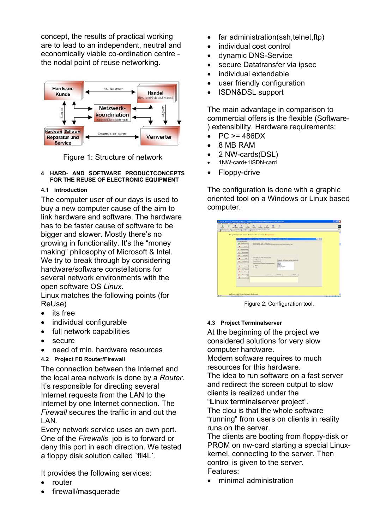concept, the results of practical working are to lead to an independent, neutral and economically viable co-ordination centre the nodal point of reuse networking.



Figure 1: Structure of network

**4 HARD- AND SOFTWARE PRODUCTCONCEPTS** • Floppy-drive **FOR THE REUSE OF ELECTRONIC EQUIPMENT** 

# **4.1 Introduction**

The computer user of our days is used to buy a new computer cause of the aim to link hardware and software. The hardware has to be faster cause of software to be bigger and slower. Mostly there's no growing in functionality. It's the "money making" philosophy of Microsoft & Intel. We try to break through by considering hardware/software constellations for several network environments with the open software OS *Linux*.

Linux matches the following points (for ReUse) Figure 2: Configuration tool.

- its free
- individual configurable **4.3 Project Terminalserver**
- 
- secure
- need of min. hardware resources

# **4.2 Project FD Router/Firewall**

The connection between the Internet and the local area network is done by a *Router*. It's responsible for directing several Internet requests from the LAN to the Internet by one Internet connection. The *Firewall* secures the traffic in and out the LAN.

Every network service uses an own port. The server. One of the *Firewalls* job is to forward or deny this port in each direction. We tested a floppy disk solution called `fli4L`.

It provides the following services: Features:<br>
• nouter **•** minimal administration

- 
- firewall/masquerade
- far administration(ssh,telnet,ftp)
- individual cost control
- dynamic DNS-Service
- secure Datatransfer via ipsec
- individual extendable
- user friendly configuration
- ISDN&DSL support

The main advantage in comparison to commercial offers is the flexible (Software- ) extensibility. Hardware requirements:

- $PC \ge 486DX$
- 8 MB RAM
- 2 NW-cards(DSL)
- 1NW-card+1ISDN-card
- 

The configuration is done with a graphic oriented tool on a Windows or Linux based computer.

| <b>PR Financials - (c) 2002 Carolan Cerns und Jürgen Bauer - All rights inserved</b>                                                                  |                                         |
|-------------------------------------------------------------------------------------------------------------------------------------------------------|-----------------------------------------|
|                                                                                                                                                       | $-118$                                  |
| <b>Jacobsongener</b><br>Williamson run full Micerell<br><b>With company</b><br>Dasser Wood days per entertain working area thretigent engines to \$4. |                                         |
| <b><i><u>AALAN</u></i></b><br>$\overline{\phantom{a}}$<br><b>N</b> Temmentants                                                                        |                                         |
| ECREAN<br>٠                                                                                                                                           |                                         |
| $\overline{\phantom{a}}$<br><b>Parameter</b>                                                                                                          |                                         |
| then looks fits also have left front<br>×<br>$+8.5$<br>1204                                                                                           | Frigarity britains series books by      |
| $\overline{\phantom{a}}$<br><b><i><u>Vancinant</u></i></b>                                                                                            | <b>Detroit</b>                          |
| $T$ HEM<br>×<br>Chevrolet                                                                                                                             | <b>COLORADO</b><br><b>Distances</b> And |
| <b>Tigs Parkers</b><br>×                                                                                                                              | <b>Design Auf</b>                       |
| ×<br><b>Claim</b>                                                                                                                                     |                                         |
|                                                                                                                                                       |                                         |
| X Founded                                                                                                                                             | same.                                   |
| ×<br><b>Standards</b>                                                                                                                                 |                                         |
| Moto exciter Se del Poulei promoti<br><b>Experience</b> Infiniture<br>W into                                                                          | <b>Country</b><br><b>Seekaland Ford</b> |

full network capabilities **At the beginning of the project we** considered solutions for very slow computer hardware.

Modern software requires to much resources for this hardware.

The idea to run software on a fast server and redirect the screen output to slow clients is realized under the

"**L**inux **t**erminal**s**erver **p**roject".

The clou is that the whole software "running" from users on clients in reality

The clients are booting from floppy-disk or PROM on nw-card starting a special Linuxkernel, connecting to the server. Then control is given to the server.